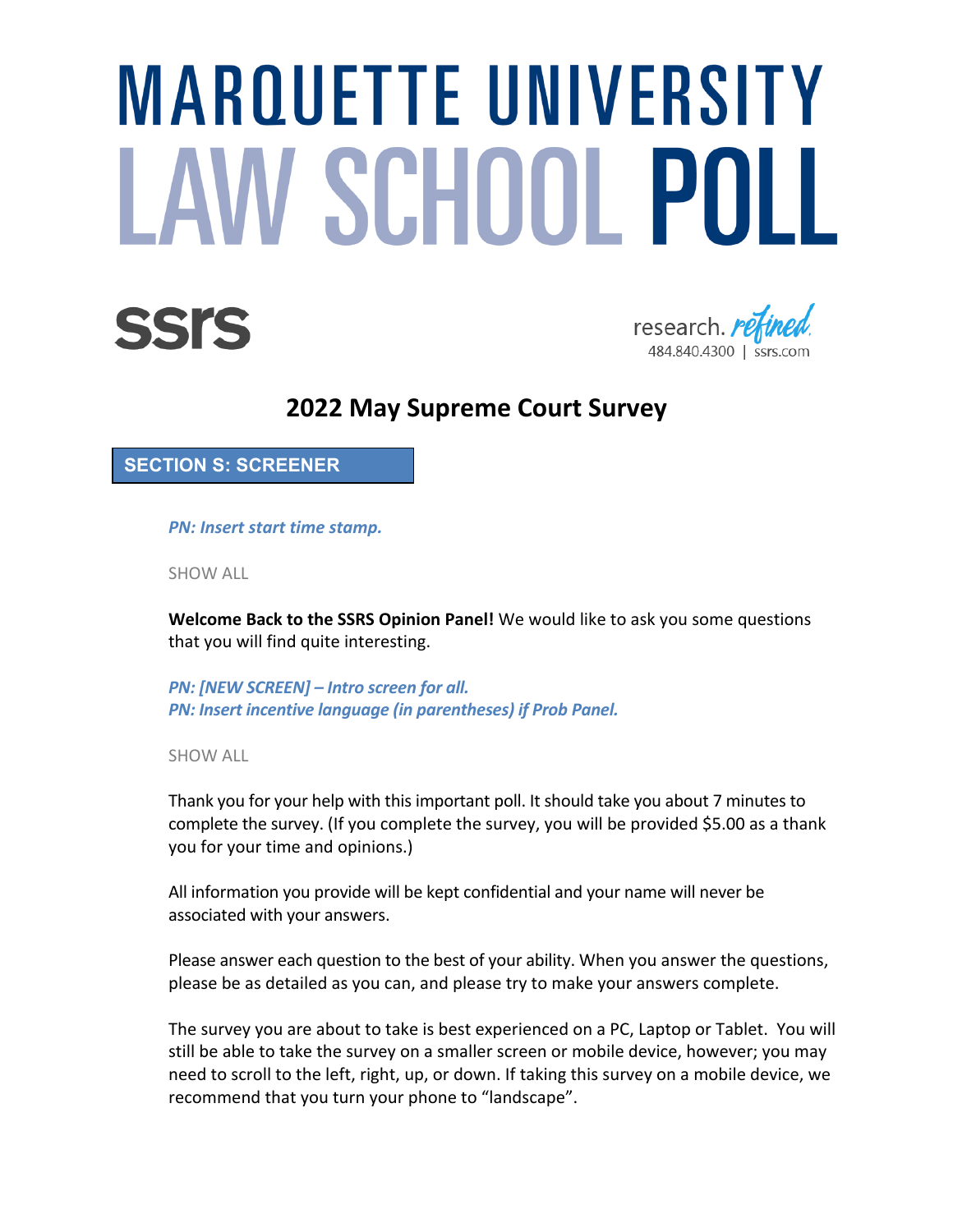# **MAROUETTE UNIVERSITY** LAW SCHOOL POLL





# **2022 May Supreme Court Survey**

**SECTION S: SCREENER**

*PN: Insert start time stamp.*

SHOW ALL

**Welcome Back to the SSRS Opinion Panel!** We would like to ask you some questions that you will find quite interesting.

*PN: [NEW SCREEN] – Intro screen for all. PN: Insert incentive language (in parentheses) if Prob Panel.*

SHOW ALL

Thank you for your help with this important poll. It should take you about 7 minutes to complete the survey. (If you complete the survey, you will be provided \$5.00 as a thank you for your time and opinions.)

All information you provide will be kept confidential and your name will never be associated with your answers.

Please answer each question to the best of your ability. When you answer the questions, please be as detailed as you can, and please try to make your answers complete.

The survey you are about to take is best experienced on a PC, Laptop or Tablet. You will still be able to take the survey on a smaller screen or mobile device, however; you may need to scroll to the left, right, up, or down. If taking this survey on a mobile device, we recommend that you turn your phone to "landscape".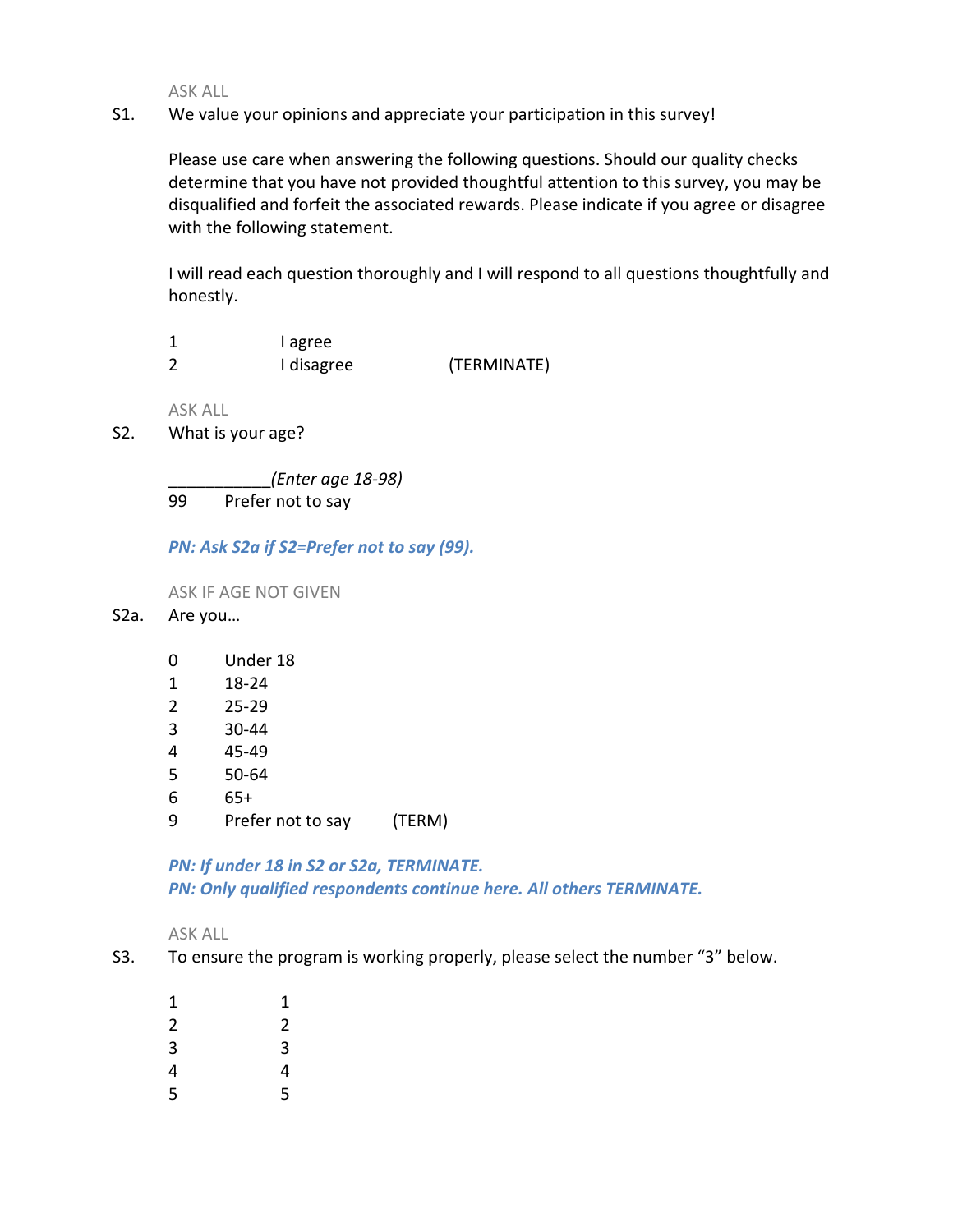S1. We value your opinions and appreciate your participation in this survey!

Please use care when answering the following questions. Should our quality checks determine that you have not provided thoughtful attention to this survey, you may be disqualified and forfeit the associated rewards. Please indicate if you agree or disagree with the following statement.

I will read each question thoroughly and I will respond to all questions thoughtfully and honestly.

| I agree    |             |
|------------|-------------|
| I disagree | (TERMINATE) |

ASK ALL

S2. What is your age?

\_\_\_\_\_\_\_\_\_\_\_*(Enter age 18-98)* 99 Prefer not to say

*PN: Ask S2a if S2=Prefer not to say (99).*

ASK IF AGE NOT GIVEN

- S2a. Are you…
	- 0 Under 18
	- 1 18-24
	- 2 25-29
	- 3 30-44
	- 4 45-49
	- 5 50-64
	- 6 65+
	- 9 Prefer not to say (TERM)

*PN: If under 18 in S2 or S2a, TERMINATE. PN: Only qualified respondents continue here. All others TERMINATE.*

- S3. To ensure the program is working properly, please select the number "3" below.
	- 1 1 2 2 3 3 4 4 5 5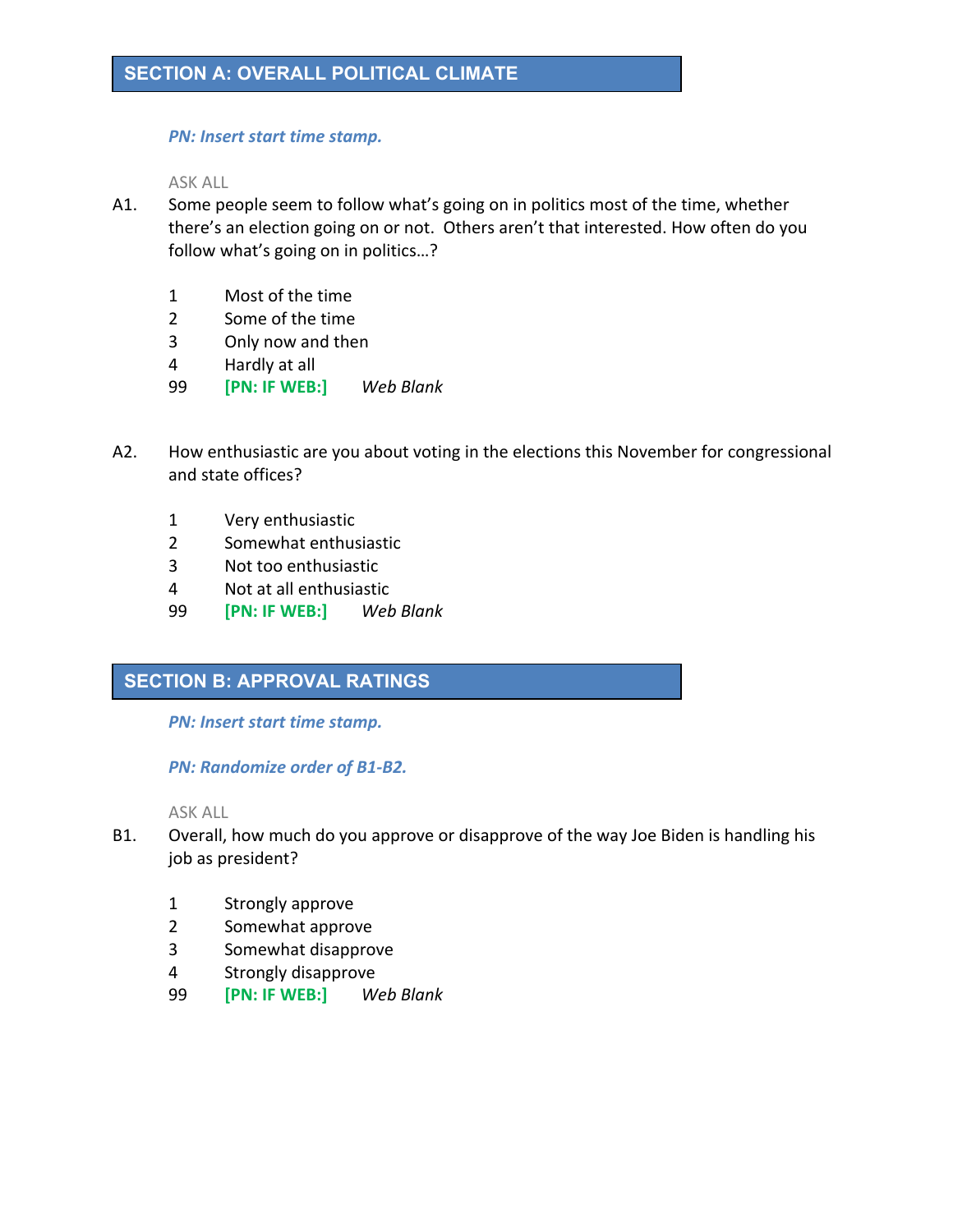### *PN: Insert start time stamp.*

ASK ALL

- A1. Some people seem to follow what's going on in politics most of the time, whether there's an election going on or not. Others aren't that interested. How often do you follow what's going on in politics…?
	- 1 Most of the time
	- 2 Some of the time
	- 3 Only now and then
	- 4 Hardly at all
	- 99 **[PN: IF WEB:]** *Web Blank*
- A2. How enthusiastic are you about voting in the elections this November for congressional and state offices?
	- 1 Very enthusiastic
	- 2 Somewhat enthusiastic
	- 3 Not too enthusiastic
	- 4 Not at all enthusiastic
	- 99 **[PN: IF WEB:]** *Web Blank*

# **SECTION B: APPROVAL RATINGS**

*PN: Insert start time stamp.*

*PN: Randomize order of B1-B2.*

- B1. Overall, how much do you approve or disapprove of the way Joe Biden is handling his job as president?
	- 1 Strongly approve
	- 2 Somewhat approve
	- 3 Somewhat disapprove
	- 4 Strongly disapprove
	- 99 **[PN: IF WEB:]** *Web Blank*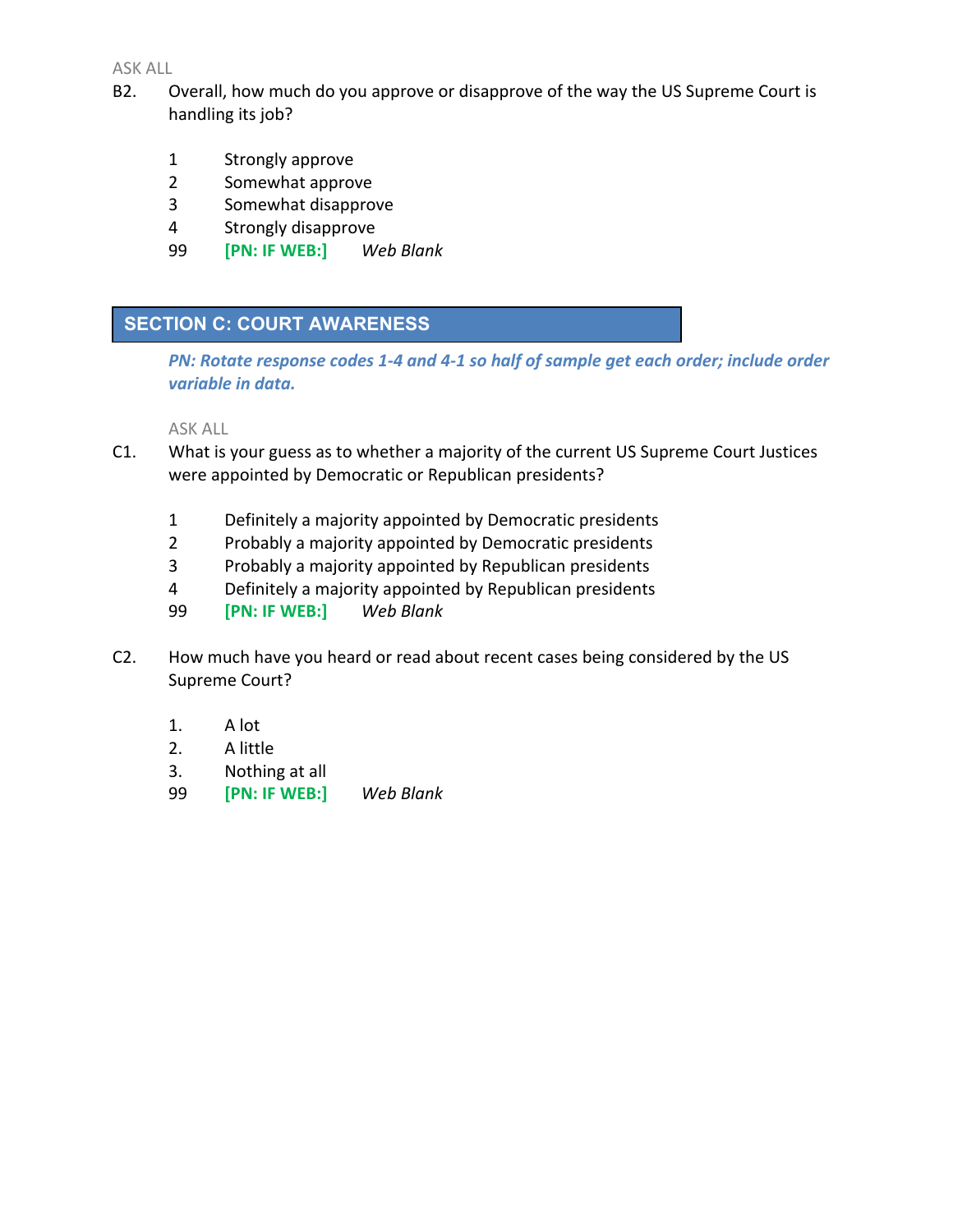- B2. Overall, how much do you approve or disapprove of the way the US Supreme Court is handling its job?
	- 1 Strongly approve
	- 2 Somewhat approve
	- 3 Somewhat disapprove
	- 4 Strongly disapprove
	- 99 **[PN: IF WEB:]** *Web Blank*

# **SECTION C: COURT AWARENESS**

*PN: Rotate response codes 1-4 and 4-1 so half of sample get each order; include order variable in data.* 

- C1. What is your guess as to whether a majority of the current US Supreme Court Justices were appointed by Democratic or Republican presidents?
	- 1 Definitely a majority appointed by Democratic presidents
	- 2 Probably a majority appointed by Democratic presidents
	- 3 Probably a majority appointed by Republican presidents
	- 4 Definitely a majority appointed by Republican presidents
	- 99 **[PN: IF WEB:]** *Web Blank*
- C2. How much have you heard or read about recent cases being considered by the US Supreme Court?
	- 1. A lot
	- 2. A little
	- 3. Nothing at all
	- 99 **[PN: IF WEB:]** *Web Blank*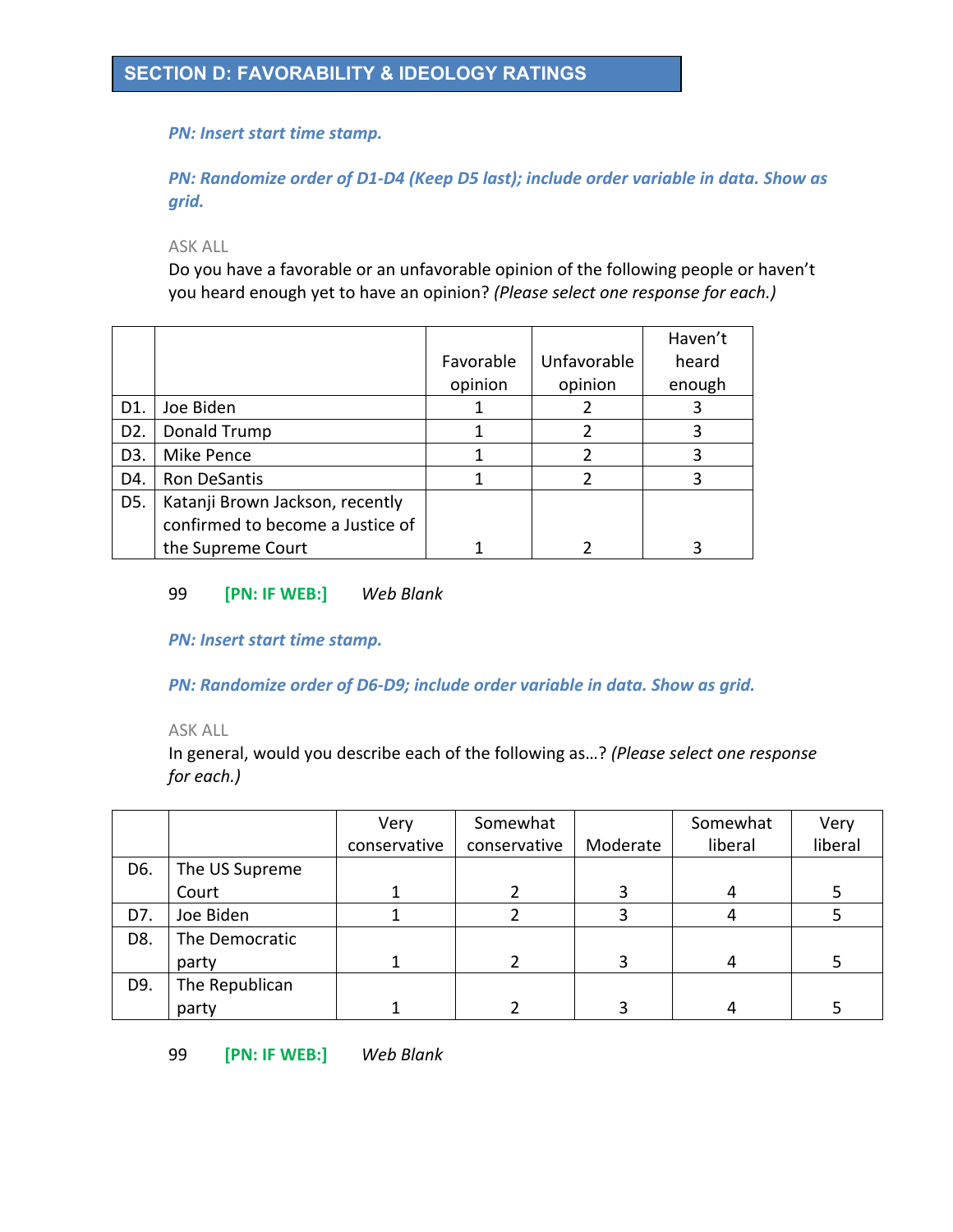### *PN: Insert start time stamp.*

*PN: Randomize order of D1-D4 (Keep D5 last); include order variable in data. Show as grid.*

ASK ALL

Do you have a favorable or an unfavorable opinion of the following people or haven't you heard enough yet to have an opinion? *(Please select one response for each.)*

|                  |                                  |           |             | Haven't |
|------------------|----------------------------------|-----------|-------------|---------|
|                  |                                  | Favorable | Unfavorable | heard   |
|                  |                                  | opinion   | opinion     | enough  |
| D1.              | Joe Biden                        |           |             |         |
| D <sub>2</sub> . | Donald Trump                     |           |             |         |
| D <sub>3</sub> . | Mike Pence                       |           |             | 3       |
| D4.              | <b>Ron DeSantis</b>              |           |             |         |
| D5.              | Katanji Brown Jackson, recently  |           |             |         |
|                  | confirmed to become a Justice of |           |             |         |
|                  | the Supreme Court                |           |             |         |

### 99 **[PN: IF WEB:]** *Web Blank*

*PN: Insert start time stamp.*

*PN: Randomize order of D6-D9; include order variable in data. Show as grid.*

### ASK ALL

In general, would you describe each of the following as…? *(Please select one response for each.)*

|     |                | Very         | Somewhat     |          | Somewhat | Very    |
|-----|----------------|--------------|--------------|----------|----------|---------|
|     |                | conservative | conservative | Moderate | liberal  | liberal |
| D6. | The US Supreme |              |              |          |          |         |
|     | Court          |              |              |          | 4        |         |
| D7. | Joe Biden      |              |              |          |          |         |
| D8. | The Democratic |              |              |          |          |         |
|     | party          |              |              |          | 4        |         |
| D9. | The Republican |              |              |          |          |         |
|     | party          |              |              |          |          |         |

99 **[PN: IF WEB:]** *Web Blank*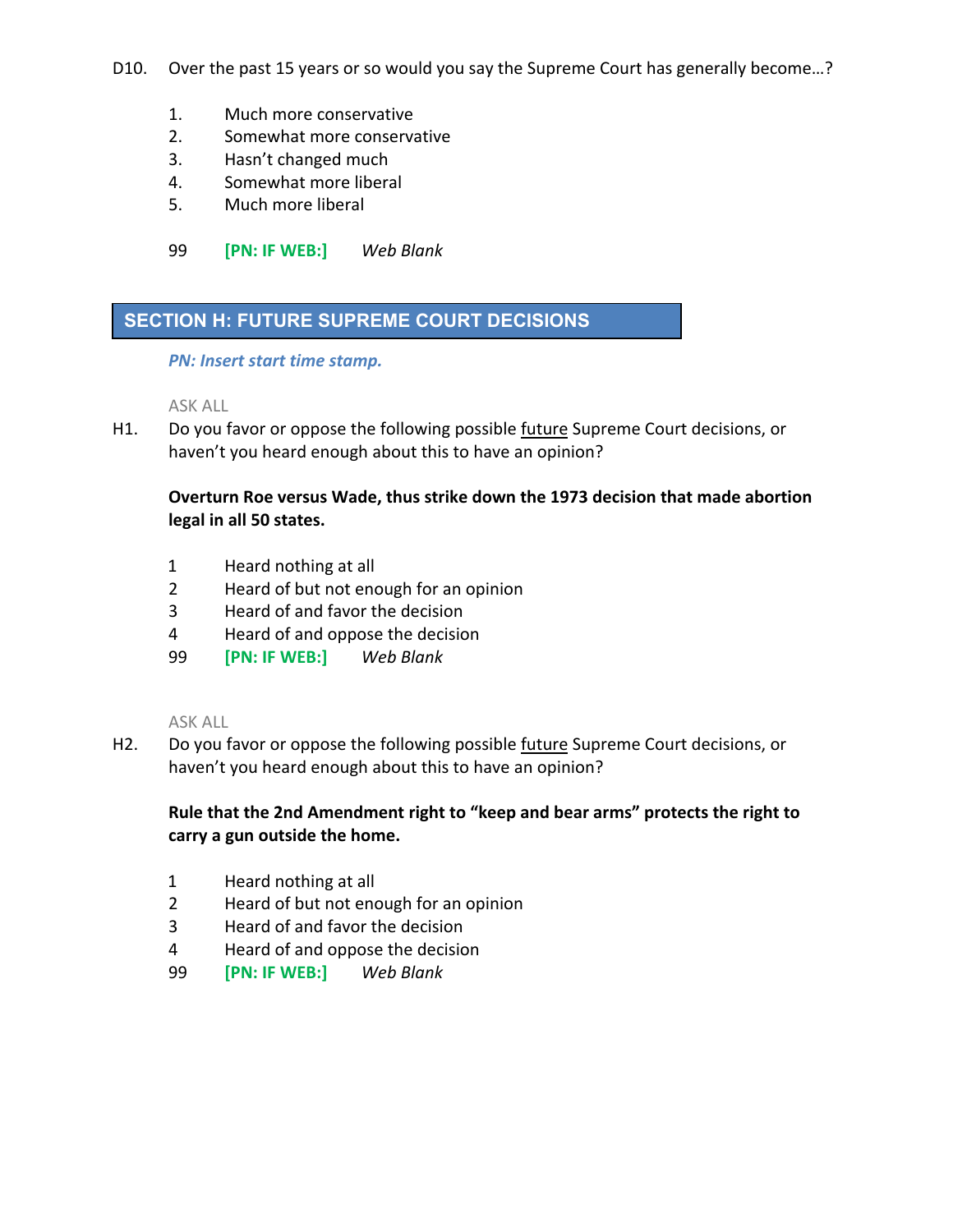- D10. Over the past 15 years or so would you say the Supreme Court has generally become...?
	- 1. Much more conservative
	- 2. Somewhat more conservative
	- 3. Hasn't changed much
	- 4. Somewhat more liberal
	- 5. Much more liberal
	- 99 **[PN: IF WEB:]** *Web Blank*

# **SECTION H: FUTURE SUPREME COURT DECISIONS**

*PN: Insert start time stamp.*

ASK ALL

H1. Do you favor or oppose the following possible future Supreme Court decisions, or haven't you heard enough about this to have an opinion?

# **Overturn Roe versus Wade, thus strike down the 1973 decision that made abortion legal in all 50 states.**

- 1 Heard nothing at all
- 2 Heard of but not enough for an opinion
- 3 Heard of and favor the decision
- 4 Heard of and oppose the decision
- 99 **[PN: IF WEB:]** *Web Blank*

ASK ALL

H2. Do you favor or oppose the following possible future Supreme Court decisions, or haven't you heard enough about this to have an opinion?

# **Rule that the 2nd Amendment right to "keep and bear arms" protects the right to carry a gun outside the home.**

- 1 Heard nothing at all
- 2 Heard of but not enough for an opinion
- 3 Heard of and favor the decision
- 4 Heard of and oppose the decision
- 99 **[PN: IF WEB:]** *Web Blank*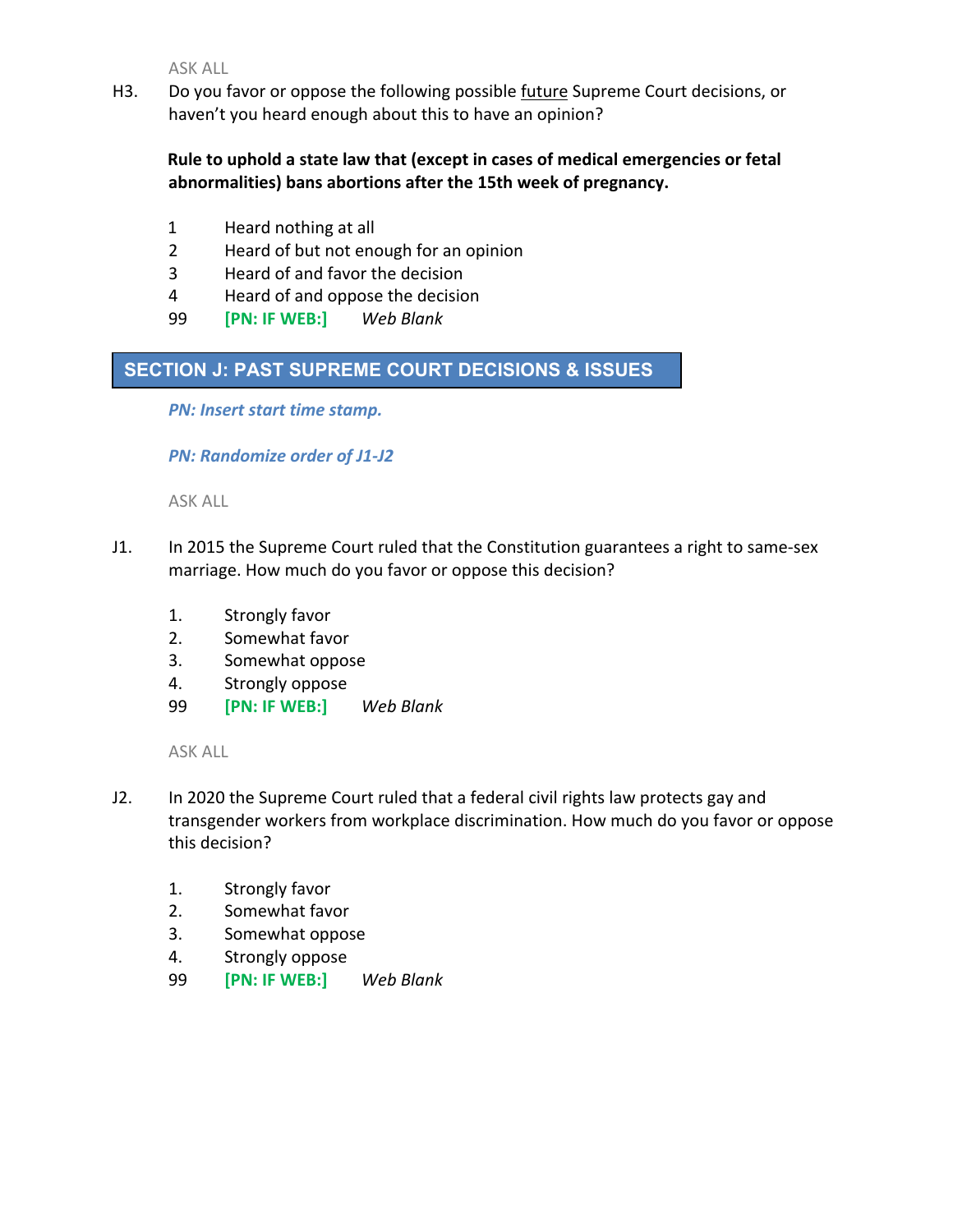H3. Do you favor or oppose the following possible future Supreme Court decisions, or haven't you heard enough about this to have an opinion?

# **Rule to uphold a state law that (except in cases of medical emergencies or fetal abnormalities) bans abortions after the 15th week of pregnancy.**

- 1 Heard nothing at all
- 2 Heard of but not enough for an opinion
- 3 Heard of and favor the decision
- 4 Heard of and oppose the decision
- 99 **[PN: IF WEB:]** *Web Blank*

# **SECTION J: PAST SUPREME COURT DECISIONS & ISSUES**

*PN: Insert start time stamp.*

# *PN: Randomize order of J1-J2*

ASK ALL

- J1. In 2015 the Supreme Court ruled that the Constitution guarantees a right to same-sex marriage. How much do you favor or oppose this decision?
	- 1. Strongly favor
	- 2. Somewhat favor
	- 3. Somewhat oppose
	- 4. Strongly oppose
	- 99 **[PN: IF WEB:]** *Web Blank*

- J2. In 2020 the Supreme Court ruled that a federal civil rights law protects gay and transgender workers from workplace discrimination. How much do you favor or oppose this decision?
	- 1. Strongly favor
	- 2. Somewhat favor
	- 3. Somewhat oppose
	- 4. Strongly oppose
	- 99 **[PN: IF WEB:]** *Web Blank*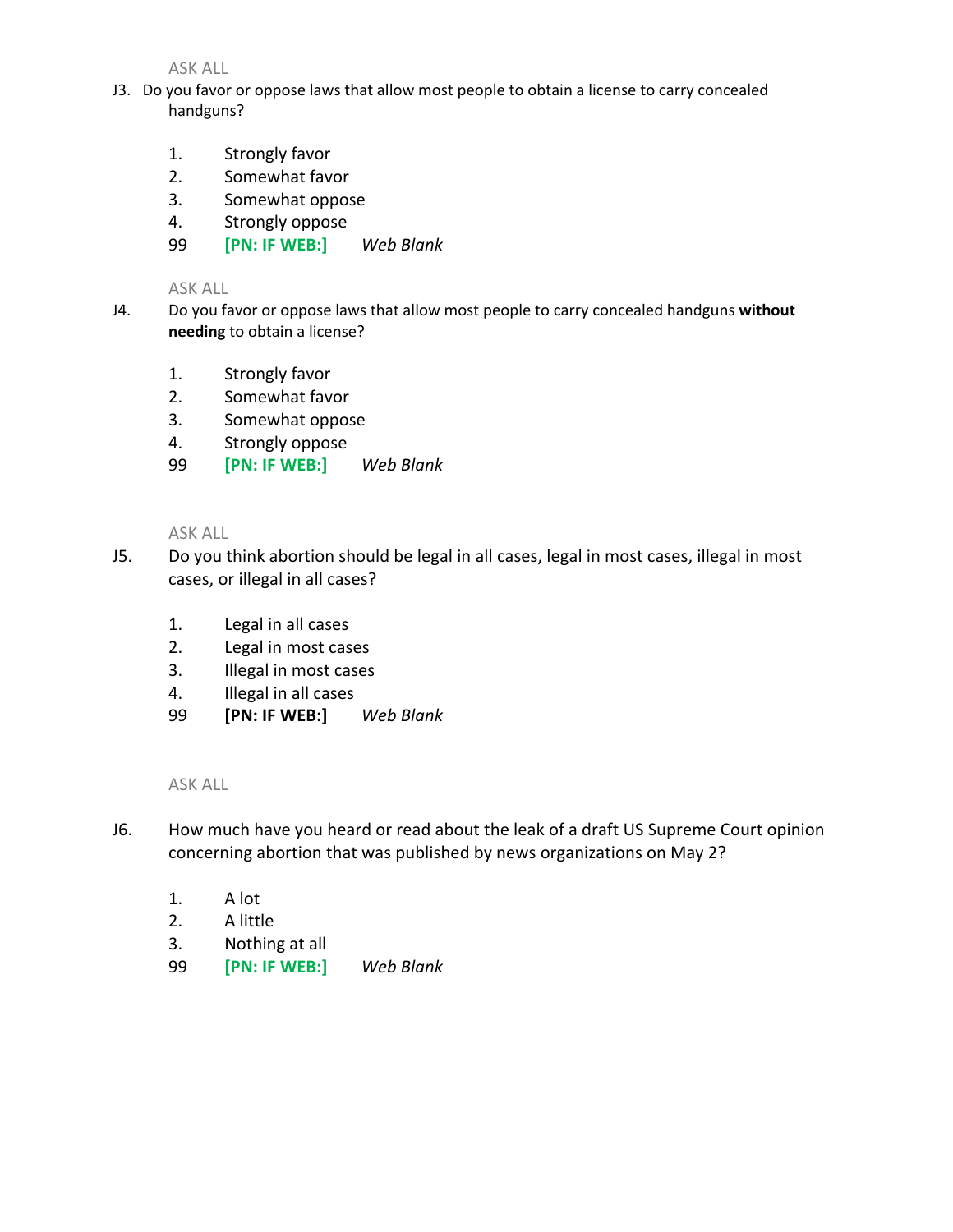- J3. Do you favor or oppose laws that allow most people to obtain a license to carry concealed handguns?
	- 1. Strongly favor
	- 2. Somewhat favor
	- 3. Somewhat oppose
	- 4. Strongly oppose
	- 99 **[PN: IF WEB:]** *Web Blank*

### ASK ALL

- J4. Do you favor or oppose laws that allow most people to carry concealed handguns **without needing** to obtain a license?
	- 1. Strongly favor
	- 2. Somewhat favor
	- 3. Somewhat oppose
	- 4. Strongly oppose
	- 99 **[PN: IF WEB:]** *Web Blank*

### ASK ALL

- J5. Do you think abortion should be legal in all cases, legal in most cases, illegal in most cases, or illegal in all cases?
	- 1. Legal in all cases
	- 2. Legal in most cases
	- 3. Illegal in most cases
	- 4. Illegal in all cases
	- 99 **[PN: IF WEB:]** *Web Blank*

- J6. How much have you heard or read about the leak of a draft US Supreme Court opinion concerning abortion that was published by news organizations on May 2?
	- 1. A lot
	- 2. A little
	- 3. Nothing at all
	- 99 **[PN: IF WEB:]** *Web Blank*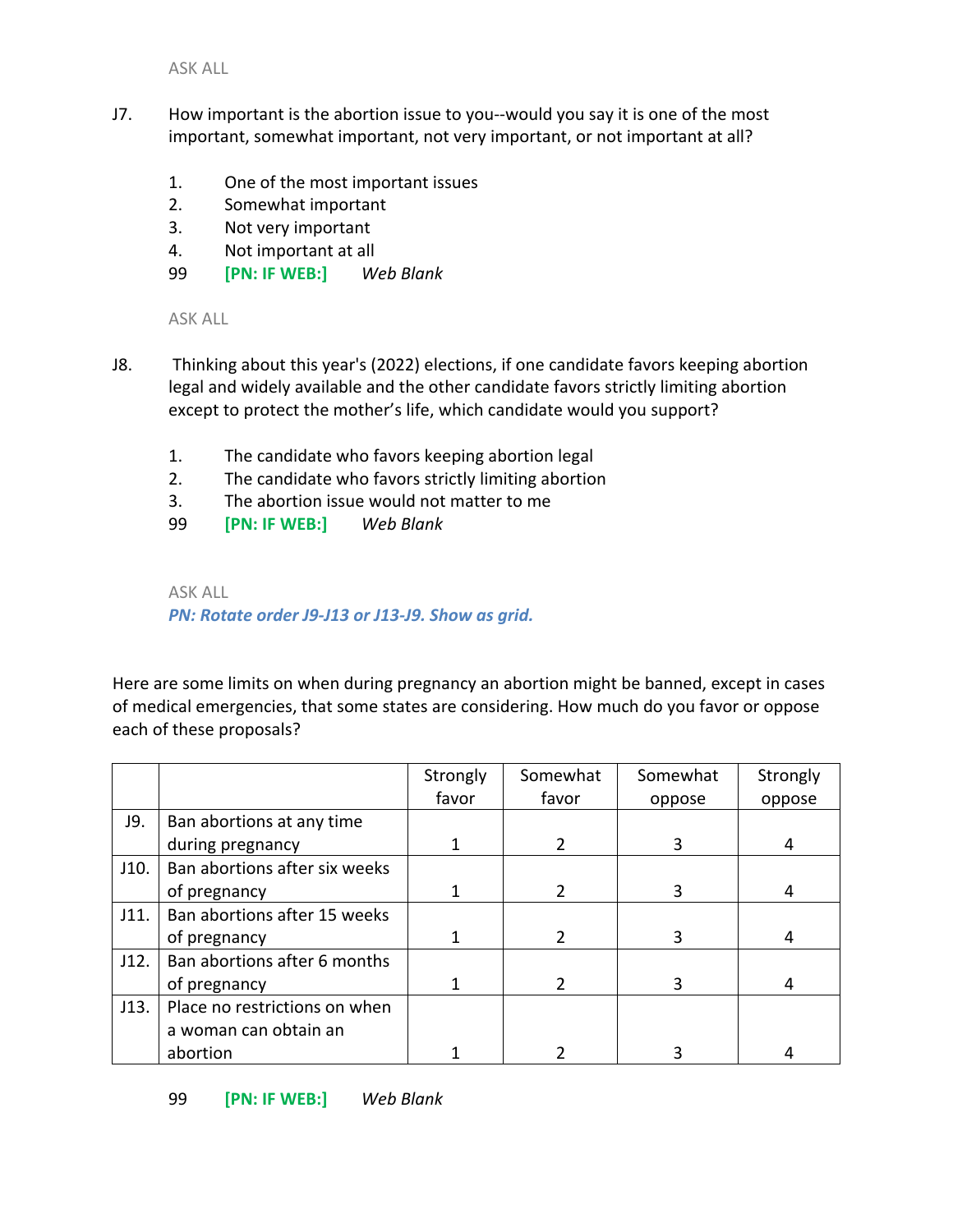- J7. How important is the abortion issue to you--would you say it is one of the most important, somewhat important, not very important, or not important at all?
	- 1. One of the most important issues
	- 2. Somewhat important
	- 3. Not very important
	- 4. Not important at all
	- 99 **[PN: IF WEB:]** *Web Blank*

ASK ALL

- J8. Thinking about this year's (2022) elections, if one candidate favors keeping abortion legal and widely available and the other candidate favors strictly limiting abortion except to protect the mother's life, which candidate would you support?
	- 1. The candidate who favors keeping abortion legal
	- 2. The candidate who favors strictly limiting abortion
	- 3. The abortion issue would not matter to me
	- 99 **[PN: IF WEB:]** *Web Blank*

ASK ALL

*PN: Rotate order J9-J13 or J13-J9. Show as grid.* 

Here are some limits on when during pregnancy an abortion might be banned, except in cases of medical emergencies, that some states are considering. How much do you favor or oppose each of these proposals?

|      |                               | Strongly | Somewhat | Somewhat | Strongly |
|------|-------------------------------|----------|----------|----------|----------|
|      |                               | favor    | favor    | oppose   | oppose   |
| J9.  | Ban abortions at any time     |          |          |          |          |
|      | during pregnancy              |          |          | 3        |          |
| J10. | Ban abortions after six weeks |          |          |          |          |
|      | of pregnancy                  |          | 2        | 3        | 4        |
| J11. | Ban abortions after 15 weeks  |          |          |          |          |
|      | of pregnancy                  |          | 2        | 3        |          |
| J12. | Ban abortions after 6 months  |          |          |          |          |
|      | of pregnancy                  |          | 2        | 3        |          |
| J13. | Place no restrictions on when |          |          |          |          |
|      | a woman can obtain an         |          |          |          |          |
|      | abortion                      |          |          |          |          |

99 **[PN: IF WEB:]** *Web Blank*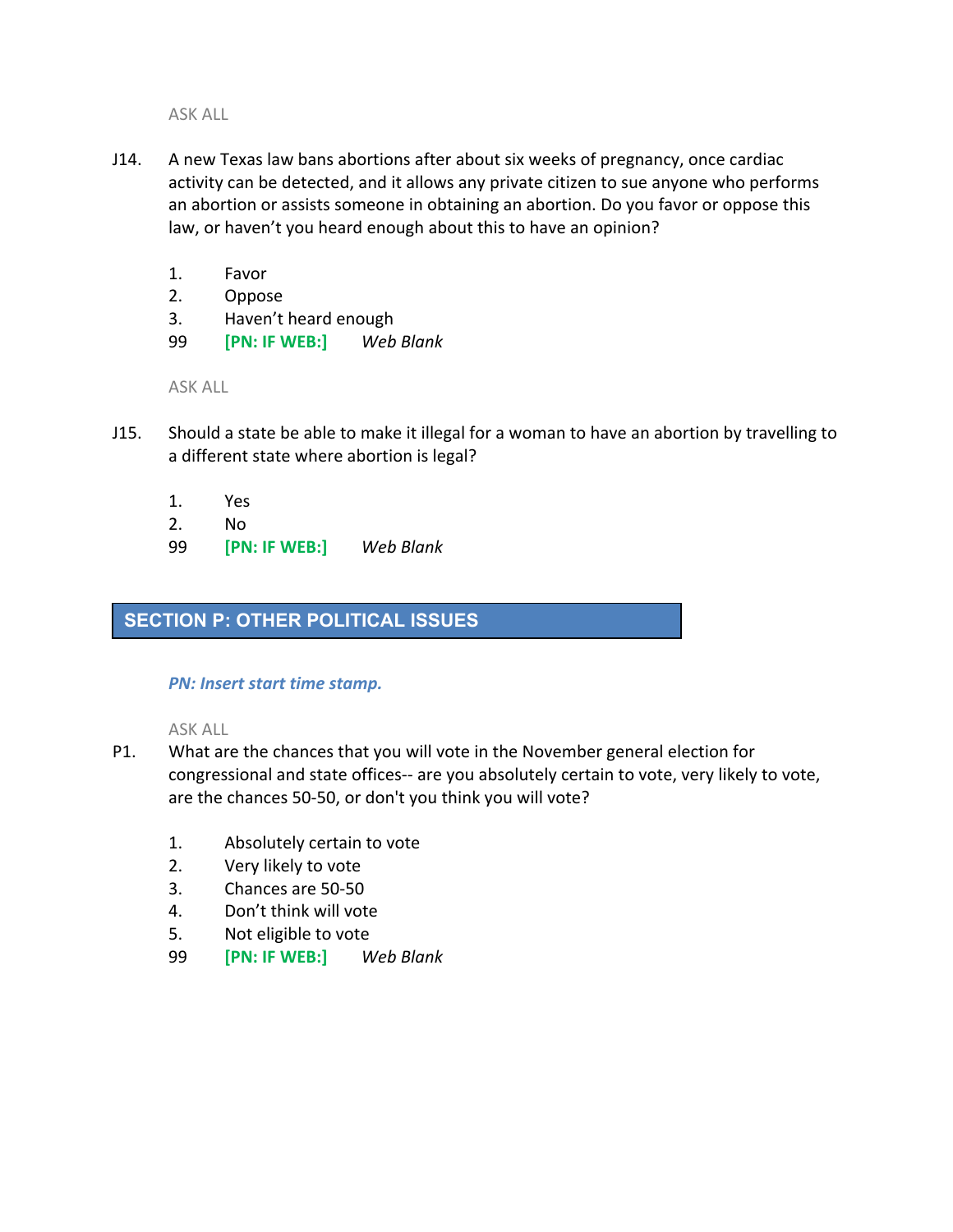- J14. A new Texas law bans abortions after about six weeks of pregnancy, once cardiac activity can be detected, and it allows any private citizen to sue anyone who performs an abortion or assists someone in obtaining an abortion. Do you favor or oppose this law, or haven't you heard enough about this to have an opinion?
	- 1. Favor
	- 2. Oppose
	- 3. Haven't heard enough
	- 99 **[PN: IF WEB:]** *Web Blank*

ASK ALL

- J15. Should a state be able to make it illegal for a woman to have an abortion by travelling to a different state where abortion is legal?
	- 1. Yes
	- 2. No
	- 99 **[PN: IF WEB:]** *Web Blank*

# **SECTION P: OTHER POLITICAL ISSUES**

# *PN: Insert start time stamp.*

- P1. What are the chances that you will vote in the November general election for congressional and state offices-- are you absolutely certain to vote, very likely to vote, are the chances 50-50, or don't you think you will vote?
	- 1. Absolutely certain to vote
	- 2. Very likely to vote
	- 3. Chances are 50-50
	- 4. Don't think will vote
	- 5. Not eligible to vote
	- 99 **[PN: IF WEB:]** *Web Blank*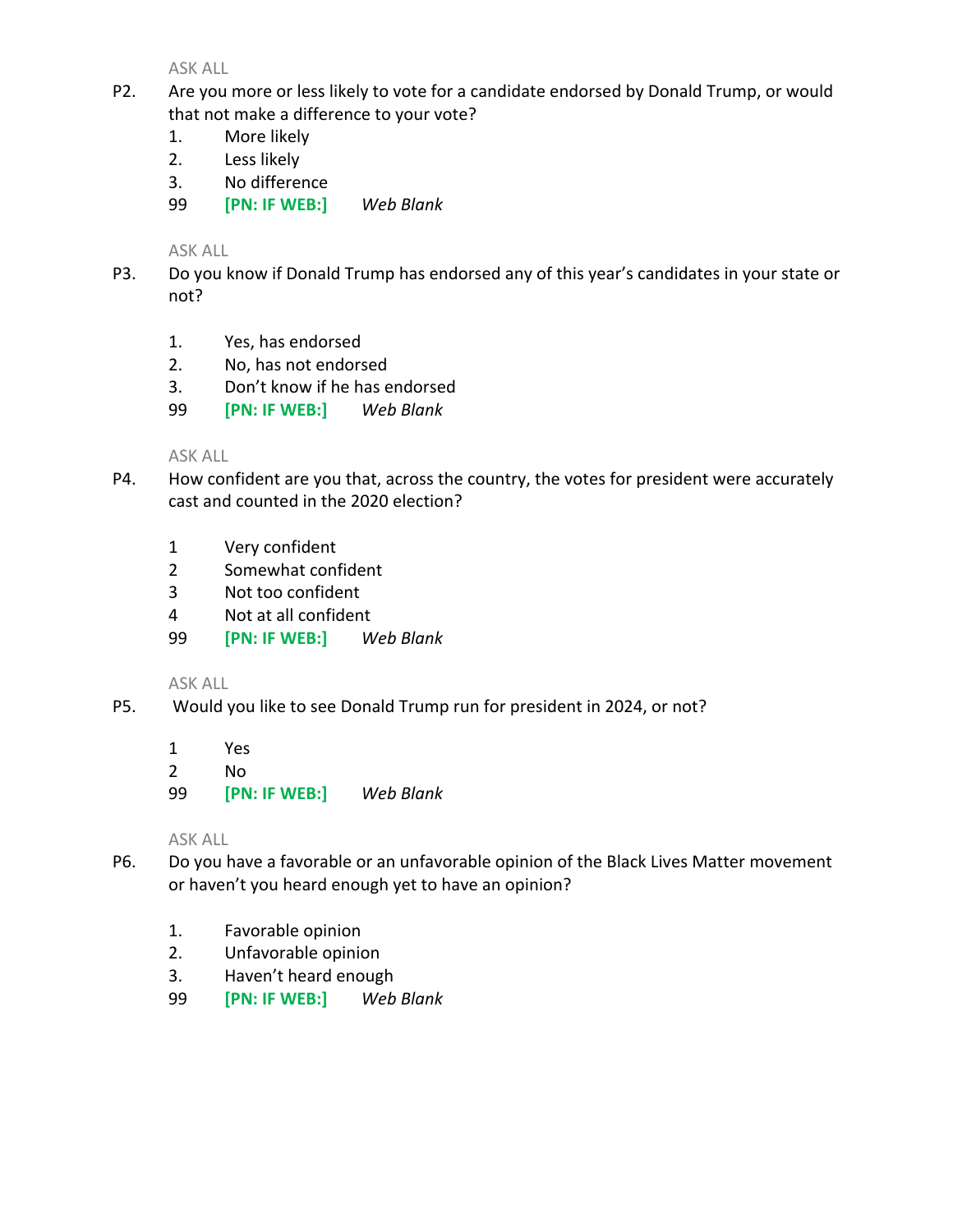- P2. Are you more or less likely to vote for a candidate endorsed by Donald Trump, or would that not make a difference to your vote?
	- 1. More likely
	- 2. Less likely
	- 3. No difference
	- 99 **[PN: IF WEB:]** *Web Blank*

ASK ALL

- P3. Do you know if Donald Trump has endorsed any of this year's candidates in your state or not?
	- 1. Yes, has endorsed
	- 2. No, has not endorsed
	- 3. Don't know if he has endorsed
	- 99 **[PN: IF WEB:]** *Web Blank*

ASK ALL

- P4. How confident are you that, across the country, the votes for president were accurately cast and counted in the 2020 election?
	- 1 Very confident
	- 2 Somewhat confident
	- 3 Not too confident
	- 4 Not at all confident
	- 99 **[PN: IF WEB:]** *Web Blank*

ASK ALL

- P5. Would you like to see Donald Trump run for president in 2024, or not?
	- 1 Yes
	- 2 No
	- 99 **[PN: IF WEB:]** *Web Blank*

- P6. Do you have a favorable or an unfavorable opinion of the Black Lives Matter movement or haven't you heard enough yet to have an opinion?
	- 1. Favorable opinion
	- 2. Unfavorable opinion
	- 3. Haven't heard enough
	- 99 **[PN: IF WEB:]** *Web Blank*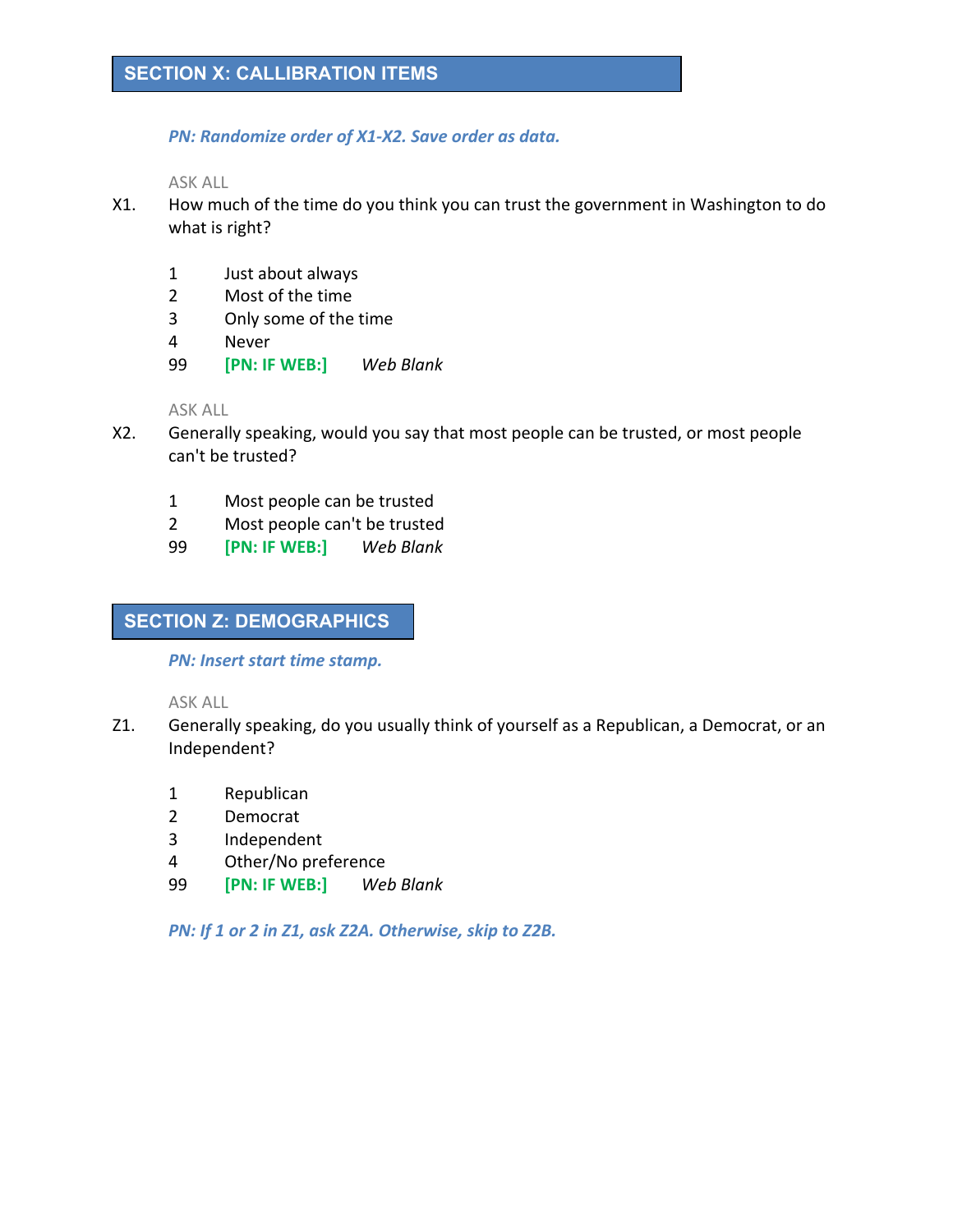*PN: Randomize order of X1-X2. Save order as data.*

ASK ALL

- X1. How much of the time do you think you can trust the government in Washington to do what is right?
	- 1 Just about always
	- 2 Most of the time
	- 3 Only some of the time
	- 4 Never
	- 99 **[PN: IF WEB:]** *Web Blank*

ASK ALL

- X2. Generally speaking, would you say that most people can be trusted, or most people can't be trusted?
	- 1 Most people can be trusted
	- 2 Most people can't be trusted
	- 99 **[PN: IF WEB:]** *Web Blank*

# **SECTION Z: DEMOGRAPHICS**

*PN: Insert start time stamp.*

ASK ALL

- Z1. Generally speaking, do you usually think of yourself as a Republican, a Democrat, or an Independent?
	- 1 Republican
	- 2 Democrat
	- 3 Independent
	- 4 Other/No preference
	- 99 **[PN: IF WEB:]** *Web Blank*

*PN: If 1 or 2 in Z1, ask Z2A. Otherwise, skip to Z2B.*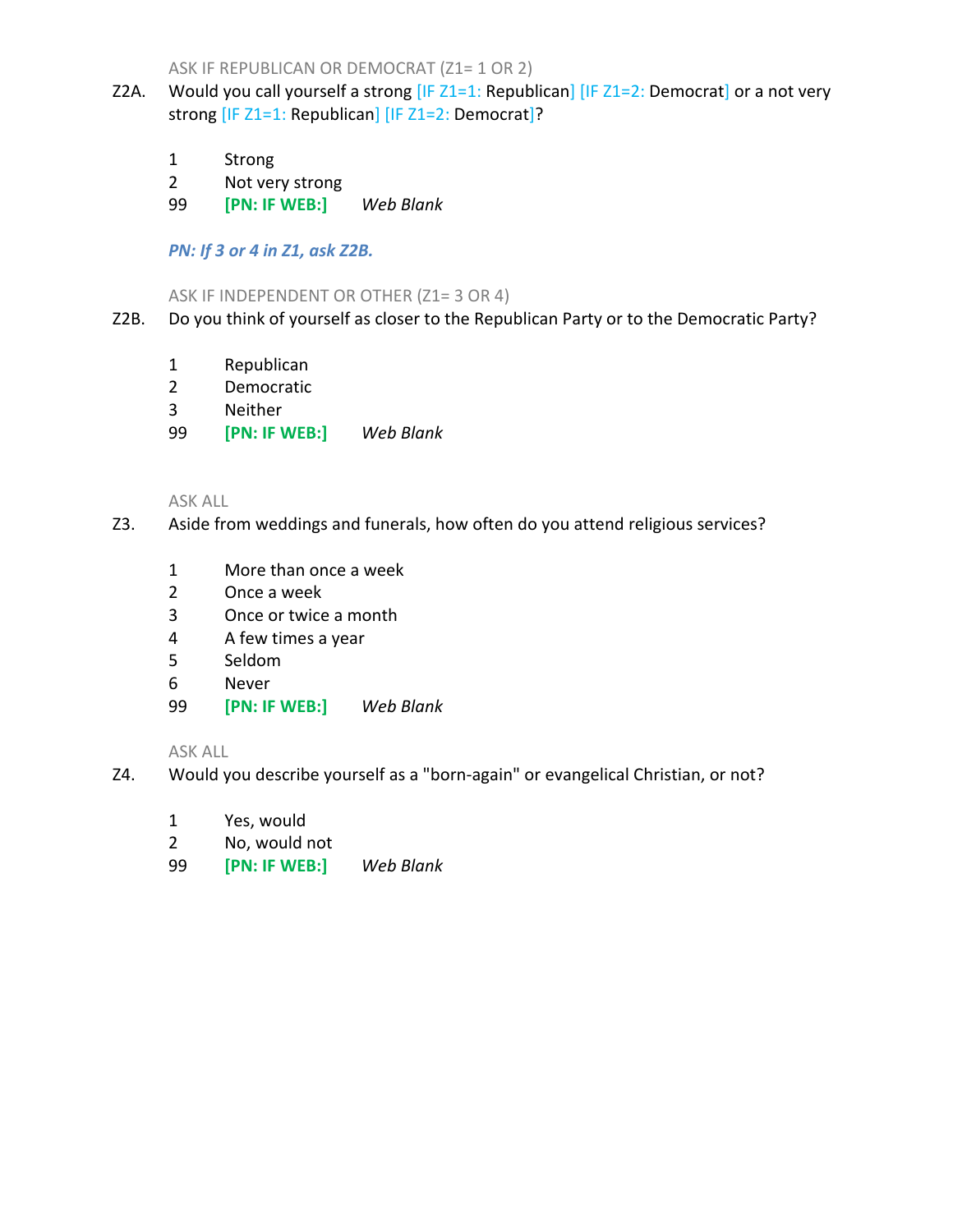ASK IF REPUBLICAN OR DEMOCRAT (Z1= 1 OR 2)

- Z2A. Would you call yourself a strong  $[IF Z1=1: Republican] [IF Z1=2: Democrat]$  or a not very strong [IF Z1=1: Republican] [IF Z1=2: Democrat]?
	- 1 Strong
	- 2 Not very strong
	- 99 **[PN: IF WEB:]** *Web Blank*

*PN: If 3 or 4 in Z1, ask Z2B.*

### ASK IF INDEPENDENT OR OTHER (Z1= 3 OR 4)

- Z2B. Do you think of yourself as closer to the Republican Party or to the Democratic Party?
	- 1 Republican
	- 2 Democratic
	- 3 Neither
	- 99 **[PN: IF WEB:]** *Web Blank*

ASK ALL

- Z3. Aside from weddings and funerals, how often do you attend religious services?
	- 1 More than once a week
	- 2 Once a week
	- 3 Once or twice a month
	- 4 A few times a year
	- 5 Seldom
	- 6 Never
	- 99 **[PN: IF WEB:]** *Web Blank*

- Z4. Would you describe yourself as a "born-again" or evangelical Christian, or not?
	- 1 Yes, would
	- 2 No, would not
	- 99 **[PN: IF WEB:]** *Web Blank*